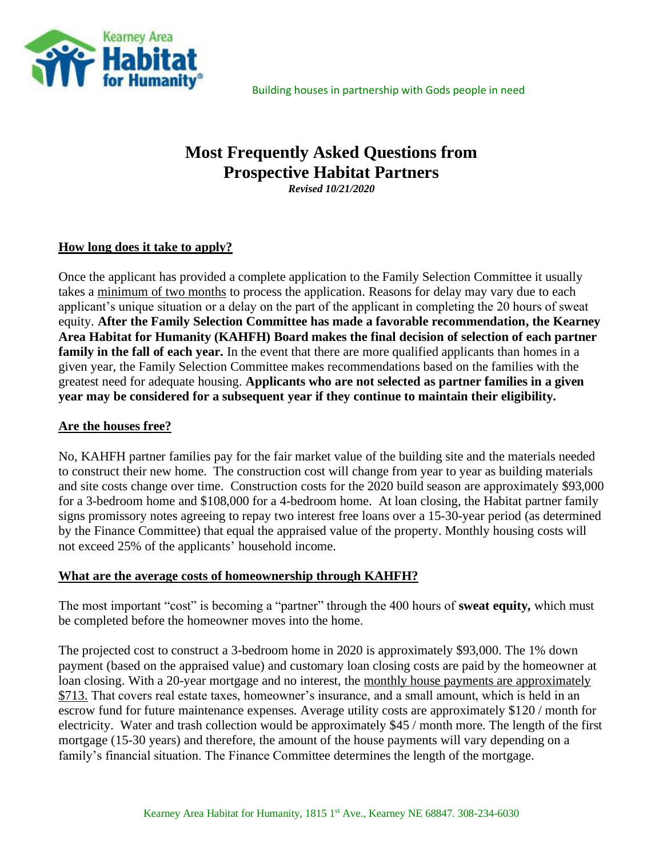

# **Most Frequently Asked Questions from Prospective Habitat Partners** *Revised 10/21/2020*

## **How long does it take to apply?**

Once the applicant has provided a complete application to the Family Selection Committee it usually takes a minimum of two months to process the application. Reasons for delay may vary due to each applicant's unique situation or a delay on the part of the applicant in completing the 20 hours of sweat equity. **After the Family Selection Committee has made a favorable recommendation, the Kearney Area Habitat for Humanity (KAHFH) Board makes the final decision of selection of each partner family in the fall of each year.** In the event that there are more qualified applicants than homes in a given year, the Family Selection Committee makes recommendations based on the families with the greatest need for adequate housing. **Applicants who are not selected as partner families in a given year may be considered for a subsequent year if they continue to maintain their eligibility.**

#### **Are the houses free?**

No, KAHFH partner families pay for the fair market value of the building site and the materials needed to construct their new home. The construction cost will change from year to year as building materials and site costs change over time. Construction costs for the 2020 build season are approximately \$93,000 for a 3-bedroom home and \$108,000 for a 4-bedroom home. At loan closing, the Habitat partner family signs promissory notes agreeing to repay two interest free loans over a 15-30-year period (as determined by the Finance Committee) that equal the appraised value of the property. Monthly housing costs will not exceed 25% of the applicants' household income.

#### **What are the average costs of homeownership through KAHFH?**

The most important "cost" is becoming a "partner" through the 400 hours of **sweat equity,** which must be completed before the homeowner moves into the home.

The projected cost to construct a 3-bedroom home in 2020 is approximately \$93,000. The 1% down payment (based on the appraised value) and customary loan closing costs are paid by the homeowner at loan closing. With a 20-year mortgage and no interest, the monthly house payments are approximately \$713. That covers real estate taxes, homeowner's insurance, and a small amount, which is held in an escrow fund for future maintenance expenses. Average utility costs are approximately \$120 / month for electricity. Water and trash collection would be approximately \$45 / month more. The length of the first mortgage (15-30 years) and therefore, the amount of the house payments will vary depending on a family's financial situation. The Finance Committee determines the length of the mortgage.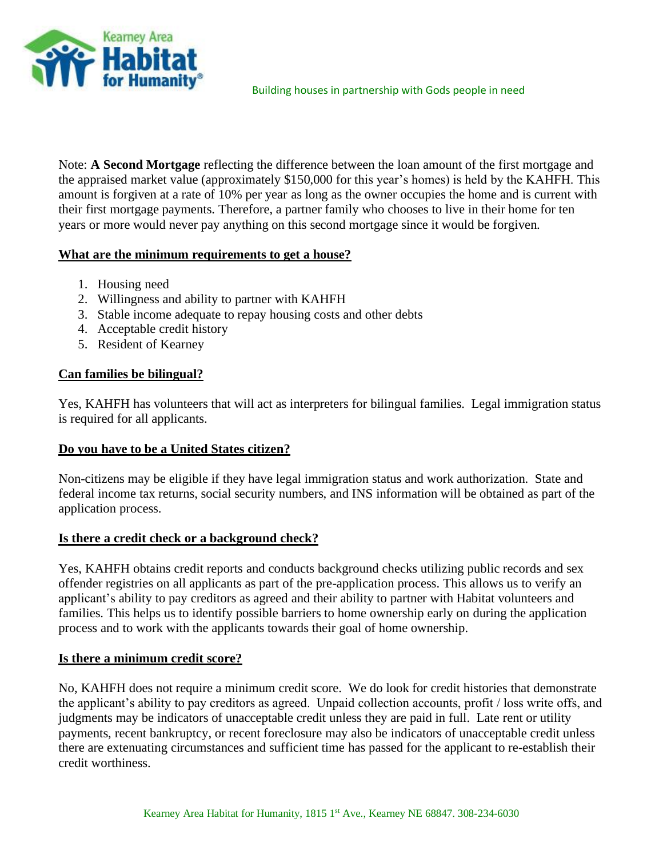

Note: **A Second Mortgage** reflecting the difference between the loan amount of the first mortgage and the appraised market value (approximately \$150,000 for this year's homes) is held by the KAHFH. This amount is forgiven at a rate of 10% per year as long as the owner occupies the home and is current with their first mortgage payments. Therefore, a partner family who chooses to live in their home for ten years or more would never pay anything on this second mortgage since it would be forgiven.

## **What are the minimum requirements to get a house?**

- 1. Housing need
- 2. Willingness and ability to partner with KAHFH
- 3. Stable income adequate to repay housing costs and other debts
- 4. Acceptable credit history
- 5. Resident of Kearney

### **Can families be bilingual?**

Yes, KAHFH has volunteers that will act as interpreters for bilingual families. Legal immigration status is required for all applicants.

#### **Do you have to be a United States citizen?**

Non-citizens may be eligible if they have legal immigration status and work authorization. State and federal income tax returns, social security numbers, and INS information will be obtained as part of the application process.

#### **Is there a credit check or a background check?**

Yes, KAHFH obtains credit reports and conducts background checks utilizing public records and sex offender registries on all applicants as part of the pre-application process. This allows us to verify an applicant's ability to pay creditors as agreed and their ability to partner with Habitat volunteers and families. This helps us to identify possible barriers to home ownership early on during the application process and to work with the applicants towards their goal of home ownership.

#### **Is there a minimum credit score?**

No, KAHFH does not require a minimum credit score. We do look for credit histories that demonstrate the applicant's ability to pay creditors as agreed. Unpaid collection accounts, profit / loss write offs, and judgments may be indicators of unacceptable credit unless they are paid in full. Late rent or utility payments, recent bankruptcy, or recent foreclosure may also be indicators of unacceptable credit unless there are extenuating circumstances and sufficient time has passed for the applicant to re-establish their credit worthiness.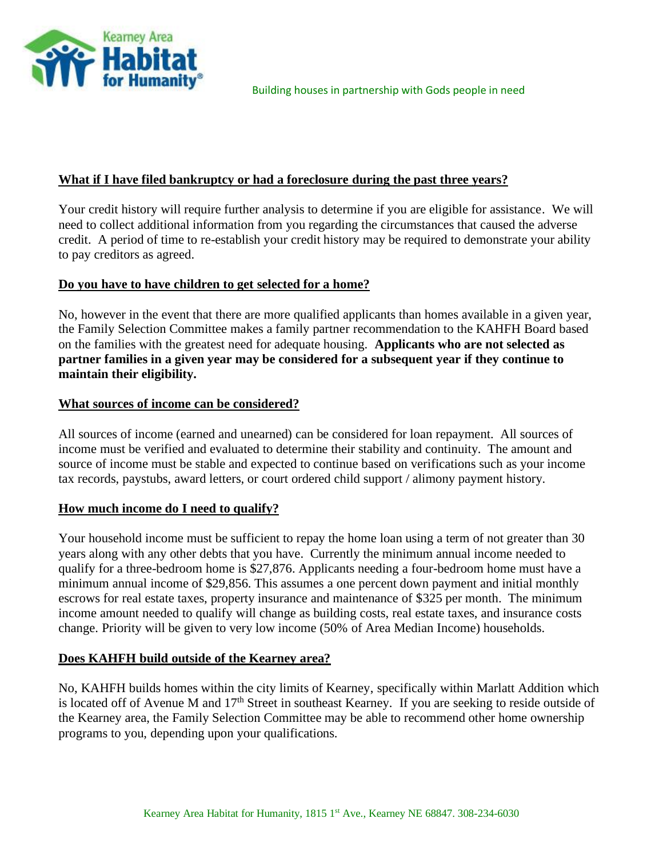

### **What if I have filed bankruptcy or had a foreclosure during the past three years?**

Your credit history will require further analysis to determine if you are eligible for assistance. We will need to collect additional information from you regarding the circumstances that caused the adverse credit. A period of time to re-establish your credit history may be required to demonstrate your ability to pay creditors as agreed.

#### **Do you have to have children to get selected for a home?**

No, however in the event that there are more qualified applicants than homes available in a given year, the Family Selection Committee makes a family partner recommendation to the KAHFH Board based on the families with the greatest need for adequate housing. **Applicants who are not selected as partner families in a given year may be considered for a subsequent year if they continue to maintain their eligibility.**

### **What sources of income can be considered?**

All sources of income (earned and unearned) can be considered for loan repayment. All sources of income must be verified and evaluated to determine their stability and continuity. The amount and source of income must be stable and expected to continue based on verifications such as your income tax records, paystubs, award letters, or court ordered child support / alimony payment history.

## **How much income do I need to qualify?**

Your household income must be sufficient to repay the home loan using a term of not greater than 30 years along with any other debts that you have. Currently the minimum annual income needed to qualify for a three-bedroom home is \$27,876. Applicants needing a four-bedroom home must have a minimum annual income of \$29,856. This assumes a one percent down payment and initial monthly escrows for real estate taxes, property insurance and maintenance of \$325 per month. The minimum income amount needed to qualify will change as building costs, real estate taxes, and insurance costs change. Priority will be given to very low income (50% of Area Median Income) households.

## **Does KAHFH build outside of the Kearney area?**

No, KAHFH builds homes within the city limits of Kearney, specifically within Marlatt Addition which is located off of Avenue M and 17<sup>th</sup> Street in southeast Kearney. If you are seeking to reside outside of the Kearney area, the Family Selection Committee may be able to recommend other home ownership programs to you, depending upon your qualifications.